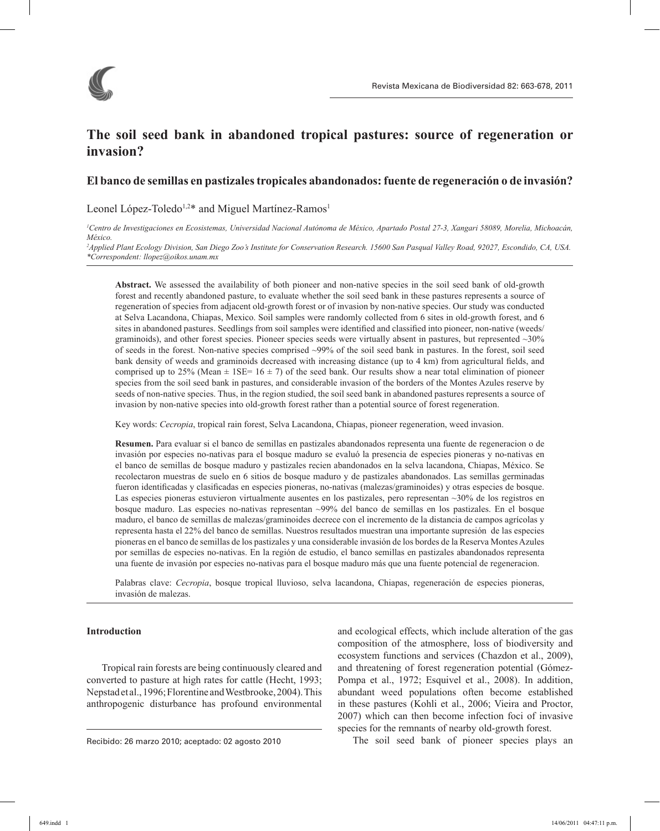

# **The soil seed bank in abandoned tropical pastures: source of regeneration or invasion?**

## **El banco de semillas en pastizales tropicales abandonados: fuente de regeneración o de invasión?**

Leonel López-Toledo<sup>1,2\*</sup> and Miguel Martínez-Ramos<sup>1</sup>

*1 Centro de Investigaciones en Ecosistemas, Universidad Nacional Autónoma de México, Apartado Postal 27-3, Xangari 58089, Morelia, Michoacán, México.* 

*2 Applied Plant Ecology Division, San Diego Zoo's Institute for Conservation Research. 15600 San Pasqual Valley Road, 92027, Escondido, CA, USA. \*Correspondent: llopez@oikos.unam.mx*

**Abstract.** We assessed the availability of both pioneer and non-native species in the soil seed bank of old-growth forest and recently abandoned pasture, to evaluate whether the soil seed bank in these pastures represents a source of regeneration of species from adjacent old-growth forest or of invasion by non-native species. Our study was conducted at Selva Lacandona, Chiapas, Mexico. Soil samples were randomly collected from 6 sites in old-growth forest, and 6 sites in abandoned pastures. Seedlings from soil samples were identified and classified into pioneer, non-native (weeds/ graminoids), and other forest species. Pioneer species seeds were virtually absent in pastures, but represented ~30% of seeds in the forest. Non-native species comprised ~99% of the soil seed bank in pastures. In the forest, soil seed bank density of weeds and graminoids decreased with increasing distance (up to 4 km) from agricultural fields, and comprised up to 25% (Mean  $\pm$  1SE= 16  $\pm$  7) of the seed bank. Our results show a near total elimination of pioneer species from the soil seed bank in pastures, and considerable invasion of the borders of the Montes Azules reserve by seeds of non-native species. Thus, in the region studied, the soil seed bank in abandoned pastures represents a source of invasion by non-native species into old-growth forest rather than a potential source of forest regeneration.

Key words: *Cecropia*, tropical rain forest, Selva Lacandona, Chiapas, pioneer regeneration, weed invasion.

**Resumen.** Para evaluar si el banco de semillas en pastizales abandonados representa una fuente de regeneracion o de invasión por especies no-nativas para el bosque maduro se evaluó la presencia de especies pioneras y no-nativas en el banco de semillas de bosque maduro y pastizales recien abandonados en la selva lacandona, Chiapas, México. Se recolectaron muestras de suelo en 6 sitios de bosque maduro y de pastizales abandonados. Las semillas germinadas fueron identificadas y clasificadas en especies pioneras, no-nativas (malezas/graminoides) y otras especies de bosque. Las especies pioneras estuvieron virtualmente ausentes en los pastizales, pero representan ~30% de los registros en bosque maduro. Las especies no-nativas representan ~99% del banco de semillas en los pastizales. En el bosque maduro, el banco de semillas de malezas/graminoides decrece con el incremento de la distancia de campos agrícolas y representa hasta el 22% del banco de semillas. Nuestros resultados muestran una importante supresión de las especies pioneras en el banco de semillas de los pastizales y una considerable invasión de los bordes de la Reserva Montes Azules por semillas de especies no-nativas. En la región de estudio, el banco semillas en pastizales abandonados representa una fuente de invasión por especies no-nativas para el bosque maduro más que una fuente potencial de regeneracion.

Palabras clave: *Cecropia*, bosque tropical lluvioso, selva lacandona, Chiapas, regeneración de especies pioneras, invasión de malezas.

## **Introduction**

Tropical rain forests are being continuously cleared and converted to pasture at high rates for cattle (Hecht, 1993; Nepstad et al., 1996; Florentine and Westbrooke, 2004). This anthropogenic disturbance has profound environmental

Recibido: 26 marzo 2010; aceptado: 02 agosto 2010

and ecological effects, which include alteration of the gas composition of the atmosphere, loss of biodiversity and ecosystem functions and services (Chazdon et al., 2009), and threatening of forest regeneration potential (Gómez-Pompa et al., 1972; Esquivel et al., 2008). In addition, abundant weed populations often become established in these pastures (Kohli et al., 2006; Vieira and Proctor, 2007) which can then become infection foci of invasive species for the remnants of nearby old-growth forest.

The soil seed bank of pioneer species plays an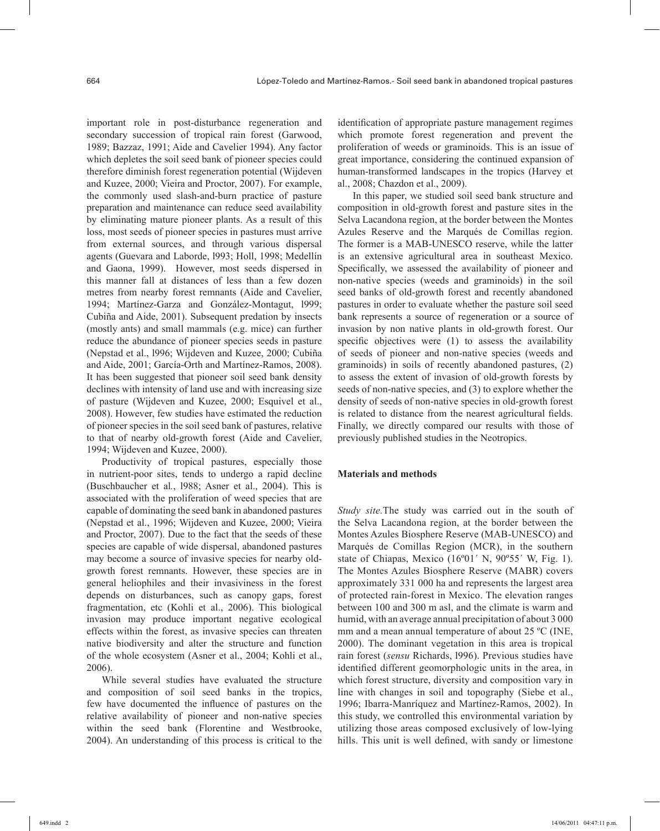important role in post-disturbance regeneration and secondary succession of tropical rain forest (Garwood, 1989; Bazzaz, 1991; Aide and Cavelier 1994). Any factor which depletes the soil seed bank of pioneer species could therefore diminish forest regeneration potential (Wijdeven and Kuzee, 2000; Vieira and Proctor, 2007). For example, the commonly used slash-and-burn practice of pasture preparation and maintenance can reduce seed availability by eliminating mature pioneer plants. As a result of this loss, most seeds of pioneer species in pastures must arrive from external sources, and through various dispersal agents (Guevara and Laborde, l993; Holl, 1998; Medellín and Gaona, 1999). However, most seeds dispersed in this manner fall at distances of less than a few dozen metres from nearby forest remnants (Aide and Cavelier, 1994; Martínez-Garza and González-Montagut, l999; Cubiña and Aide, 2001). Subsequent predation by insects (mostly ants) and small mammals (e.g. mice) can further reduce the abundance of pioneer species seeds in pasture (Nepstad et al., l996; Wijdeven and Kuzee, 2000; Cubiña and Aide, 2001; García-Orth and Martínez-Ramos, 2008). It has been suggested that pioneer soil seed bank density declines with intensity of land use and with increasing size of pasture (Wijdeven and Kuzee, 2000; Esquivel et al., 2008). However, few studies have estimated the reduction of pioneer species in the soil seed bank of pastures, relative to that of nearby old-growth forest (Aide and Cavelier, 1994; Wijdeven and Kuzee, 2000).

Productivity of tropical pastures, especially those in nutrient-poor sites, tends to undergo a rapid decline (Buschbaucher et al*.*, l988; Asner et al., 2004). This is associated with the proliferation of weed species that are capable of dominating the seed bank in abandoned pastures (Nepstad et al., 1996; Wijdeven and Kuzee, 2000; Vieira and Proctor, 2007). Due to the fact that the seeds of these species are capable of wide dispersal, abandoned pastures may become a source of invasive species for nearby oldgrowth forest remnants. However, these species are in general heliophiles and their invasiviness in the forest depends on disturbances, such as canopy gaps, forest fragmentation, etc (Kohli et al., 2006). This biological invasion may produce important negative ecological effects within the forest, as invasive species can threaten native biodiversity and alter the structure and function of the whole ecosystem (Asner et al., 2004; Kohli et al., 2006).

While several studies have evaluated the structure and composition of soil seed banks in the tropics, few have documented the influence of pastures on the relative availability of pioneer and non-native species within the seed bank (Florentine and Westbrooke, 2004). An understanding of this process is critical to the

identification of appropriate pasture management regimes which promote forest regeneration and prevent the proliferation of weeds or graminoids. This is an issue of great importance, considering the continued expansion of human-transformed landscapes in the tropics (Harvey et al., 2008; Chazdon et al., 2009).

In this paper, we studied soil seed bank structure and composition in old-growth forest and pasture sites in the Selva Lacandona region, at the border between the Montes Azules Reserve and the Marqués de Comillas region. The former is a MAB-UNESCO reserve, while the latter is an extensive agricultural area in southeast Mexico. Specifically, we assessed the availability of pioneer and non-native species (weeds and graminoids) in the soil seed banks of old-growth forest and recently abandoned pastures in order to evaluate whether the pasture soil seed bank represents a source of regeneration or a source of invasion by non native plants in old-growth forest. Our specific objectives were (1) to assess the availability of seeds of pioneer and non-native species (weeds and graminoids) in soils of recently abandoned pastures, (2) to assess the extent of invasion of old-growth forests by seeds of non-native species, and (3) to explore whether the density of seeds of non-native species in old-growth forest is related to distance from the nearest agricultural fields. Finally, we directly compared our results with those of previously published studies in the Neotropics.

#### **Materials and methods**

*Study site.*The study was carried out in the south of the Selva Lacandona region, at the border between the Montes Azules Biosphere Reserve (MAB-UNESCO) and Marqués de Comillas Region (MCR), in the southern state of Chiapas, Mexico (16°01′ N, 90°55′ W, Fig. 1). The Montes Azules Biosphere Reserve (MABR) covers approximately 331 000 ha and represents the largest area of protected rain-forest in Mexico. The elevation ranges between 100 and 300 m asl, and the climate is warm and humid, with an average annual precipitation of about 3 000 mm and a mean annual temperature of about 25 ºC (INE, 2000). The dominant vegetation in this area is tropical rain forest (*sensu* Richards, l996). Previous studies have identified different geomorphologic units in the area, in which forest structure, diversity and composition vary in line with changes in soil and topography (Siebe et al., 1996; Ibarra-Manríquez and Martínez-Ramos, 2002). In this study, we controlled this environmental variation by utilizing those areas composed exclusively of low-lying hills. This unit is well defined, with sandy or limestone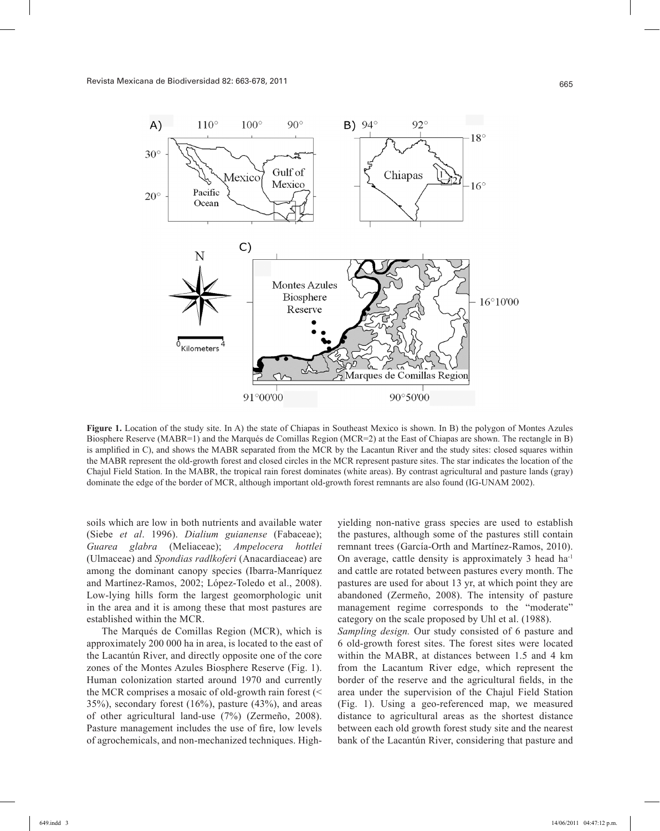

**Figure 1.** Location of the study site. In A) the state of Chiapas in Southeast Mexico is shown. In B) the polygon of Montes Azules Biosphere Reserve (MABR=1) and the Marqués de Comillas Region (MCR=2) at the East of Chiapas are shown. The rectangle in B) is amplified in C), and shows the MABR separated from the MCR by the Lacantun River and the study sites: closed squares within the MABR represent the old-growth forest and closed circles in the MCR represent pasture sites. The star indicates the location of the Chajul Field Station. In the MABR, the tropical rain forest dominates (white areas). By contrast agricultural and pasture lands (gray) dominate the edge of the border of MCR, although important old-growth forest remnants are also found (IG-UNAM 2002).

soils which are low in both nutrients and available water (Siebe *et al*. 1996). *Dialium guianense* (Fabaceae); *Guarea glabra* (Meliaceae); *Ampelocera hottlei* (Ulmaceae) and *Spondias radlkoferi* (Anacardiaceae) are among the dominant canopy species (Ibarra-Manríquez and Martínez-Ramos, 2002; López-Toledo et al., 2008). Low-lying hills form the largest geomorphologic unit in the area and it is among these that most pastures are established within the MCR.

The Marqués de Comillas Region (MCR), which is approximately 200 000 ha in area, is located to the east of the Lacantún River, and directly opposite one of the core zones of the Montes Azules Biosphere Reserve (Fig. 1). Human colonization started around 1970 and currently the MCR comprises a mosaic of old-growth rain forest (< 35%), secondary forest (16%), pasture (43%), and areas of other agricultural land-use (7%) (Zermeño, 2008). Pasture management includes the use of fire, low levels of agrochemicals, and non-mechanized techniques. Highyielding non-native grass species are used to establish the pastures, although some of the pastures still contain remnant trees (García-Orth and Martínez-Ramos, 2010). On average, cattle density is approximately 3 head ha-1 and cattle are rotated between pastures every month. The pastures are used for about 13 yr, at which point they are abandoned (Zermeño, 2008). The intensity of pasture management regime corresponds to the "moderate" category on the scale proposed by Uhl et al. (1988). *Sampling design.* Our study consisted of 6 pasture and 6 old-growth forest sites. The forest sites were located within the MABR, at distances between 1.5 and 4 km from the Lacantum River edge, which represent the border of the reserve and the agricultural fields, in the area under the supervision of the Chajul Field Station (Fig. 1). Using a geo-referenced map, we measured distance to agricultural areas as the shortest distance between each old growth forest study site and the nearest bank of the Lacantún River, considering that pasture and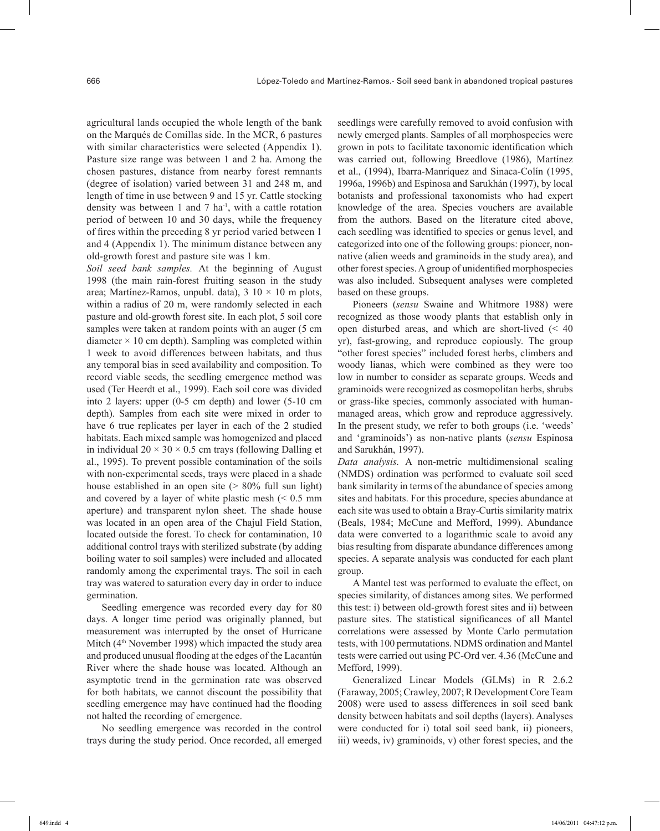agricultural lands occupied the whole length of the bank on the Marqués de Comillas side. In the MCR, 6 pastures with similar characteristics were selected (Appendix 1). Pasture size range was between 1 and 2 ha. Among the chosen pastures, distance from nearby forest remnants (degree of isolation) varied between 31 and 248 m, and length of time in use between 9 and 15 yr. Cattle stocking density was between 1 and 7 ha-1, with a cattle rotation period of between 10 and 30 days, while the frequency of fires within the preceding 8 yr period varied between 1 and 4 (Appendix 1). The minimum distance between any old-growth forest and pasture site was 1 km.

*Soil seed bank samples.* At the beginning of August 1998 (the main rain-forest fruiting season in the study area; Martínez-Ramos, unpubl. data),  $3 \times 10 \times 10$  m plots, within a radius of 20 m, were randomly selected in each pasture and old-growth forest site. In each plot, 5 soil core samples were taken at random points with an auger (5 cm diameter  $\times$  10 cm depth). Sampling was completed within 1 week to avoid differences between habitats, and thus any temporal bias in seed availability and composition. To record viable seeds, the seedling emergence method was used (Ter Heerdt et al., 1999). Each soil core was divided into 2 layers: upper (0-5 cm depth) and lower (5-10 cm depth). Samples from each site were mixed in order to have 6 true replicates per layer in each of the 2 studied habitats. Each mixed sample was homogenized and placed in individual  $20 \times 30 \times 0.5$  cm trays (following Dalling et al., 1995). To prevent possible contamination of the soils with non-experimental seeds, trays were placed in a shade house established in an open site  $($  > 80% full sun light) and covered by a layer of white plastic mesh  $\approx 0.5$  mm aperture) and transparent nylon sheet. The shade house was located in an open area of the Chajul Field Station, located outside the forest. To check for contamination, 10 additional control trays with sterilized substrate (by adding boiling water to soil samples) were included and allocated randomly among the experimental trays. The soil in each tray was watered to saturation every day in order to induce germination.

Seedling emergence was recorded every day for 80 days. A longer time period was originally planned, but measurement was interrupted by the onset of Hurricane Mitch (4<sup>th</sup> November 1998) which impacted the study area and produced unusual flooding at the edges of the Lacantún River where the shade house was located. Although an asymptotic trend in the germination rate was observed for both habitats, we cannot discount the possibility that seedling emergence may have continued had the flooding not halted the recording of emergence.

No seedling emergence was recorded in the control trays during the study period. Once recorded, all emerged

seedlings were carefully removed to avoid confusion with newly emerged plants. Samples of all morphospecies were grown in pots to facilitate taxonomic identification which was carried out, following Breedlove (1986), Martínez et al., (1994), Ibarra-Manríquez and Sinaca-Colín (1995, 1996a, 1996b) and Espinosa and Sarukhán (1997), by local botanists and professional taxonomists who had expert knowledge of the area. Species vouchers are available from the authors. Based on the literature cited above, each seedling was identified to species or genus level, and categorized into one of the following groups: pioneer, nonnative (alien weeds and graminoids in the study area), and other forest species. A group of unidentified morphospecies was also included. Subsequent analyses were completed based on these groups.

Pioneers (*sensu* Swaine and Whitmore 1988) were recognized as those woody plants that establish only in open disturbed areas, and which are short-lived (< 40 yr), fast-growing, and reproduce copiously. The group "other forest species" included forest herbs, climbers and woody lianas, which were combined as they were too low in number to consider as separate groups. Weeds and graminoids were recognized as cosmopolitan herbs, shrubs or grass-like species, commonly associated with humanmanaged areas, which grow and reproduce aggressively. In the present study, we refer to both groups (i.e. 'weeds' and 'graminoids') as non-native plants (*sensu* Espinosa and Sarukhán, 1997).

*Data analysis.* A non-metric multidimensional scaling (NMDS) ordination was performed to evaluate soil seed bank similarity in terms of the abundance of species among sites and habitats. For this procedure, species abundance at each site was used to obtain a Bray-Curtis similarity matrix (Beals, 1984; McCune and Mefford, 1999). Abundance data were converted to a logarithmic scale to avoid any bias resulting from disparate abundance differences among species. A separate analysis was conducted for each plant group.

A Mantel test was performed to evaluate the effect, on species similarity, of distances among sites. We performed this test: i) between old-growth forest sites and ii) between pasture sites. The statistical significances of all Mantel correlations were assessed by Monte Carlo permutation tests, with 100 permutations. NDMS ordination and Mantel tests were carried out using PC-Ord ver. 4.36 (McCune and Mefford, 1999).

Generalized Linear Models (GLMs) in R 2.6.2 (Faraway, 2005; Crawley, 2007; R Development Core Team 2008) were used to assess differences in soil seed bank density between habitats and soil depths (layers). Analyses were conducted for i) total soil seed bank, ii) pioneers, iii) weeds, iv) graminoids, v) other forest species, and the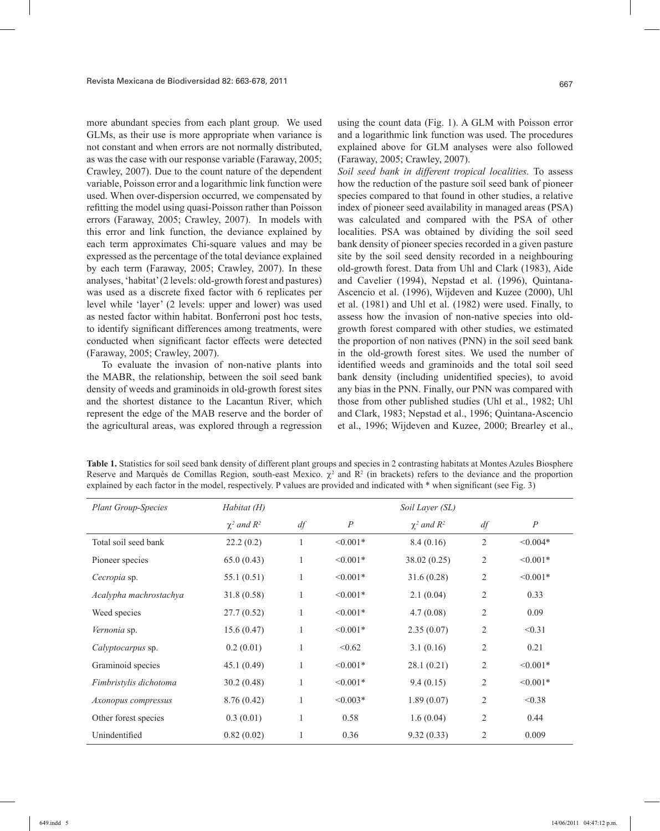more abundant species from each plant group. We used GLMs, as their use is more appropriate when variance is not constant and when errors are not normally distributed, as was the case with our response variable (Faraway, 2005; Crawley, 2007). Due to the count nature of the dependent variable, Poisson error and a logarithmic link function were used. When over-dispersion occurred, we compensated by refitting the model using quasi-Poisson rather than Poisson errors (Faraway, 2005; Crawley, 2007). In models with this error and link function, the deviance explained by each term approximates Chi-square values and may be expressed as the percentage of the total deviance explained by each term (Faraway, 2005; Crawley, 2007). In these analyses, 'habitat' (2 levels: old-growth forest and pastures) was used as a discrete fixed factor with 6 replicates per level while 'layer' (2 levels: upper and lower) was used as nested factor within habitat. Bonferroni post hoc tests, to identify significant differences among treatments, were conducted when significant factor effects were detected (Faraway, 2005; Crawley, 2007).

To evaluate the invasion of non-native plants into the MABR, the relationship, between the soil seed bank density of weeds and graminoids in old-growth forest sites and the shortest distance to the Lacantun River, which represent the edge of the MAB reserve and the border of the agricultural areas, was explored through a regression

using the count data (Fig. 1). A GLM with Poisson error and a logarithmic link function was used. The procedures explained above for GLM analyses were also followed (Faraway, 2005; Crawley, 2007).

*Soil seed bank in different tropical localities.* To assess how the reduction of the pasture soil seed bank of pioneer species compared to that found in other studies, a relative index of pioneer seed availability in managed areas (PSA) was calculated and compared with the PSA of other localities. PSA was obtained by dividing the soil seed bank density of pioneer species recorded in a given pasture site by the soil seed density recorded in a neighbouring old-growth forest. Data from Uhl and Clark (1983), Aide and Cavelier (1994), Nepstad et al. (1996), Quintana-Ascencio et al. (1996), Wijdeven and Kuzee (2000), Uhl et al. (1981) and Uhl et al. (1982) were used. Finally, to assess how the invasion of non-native species into oldgrowth forest compared with other studies, we estimated the proportion of non natives (PNN) in the soil seed bank in the old-growth forest sites. We used the number of identified weeds and graminoids and the total soil seed bank density (including unidentified species), to avoid any bias in the PNN. Finally, our PNN was compared with those from other published studies (Uhl et al., 1982; Uhl and Clark, 1983; Nepstad et al., 1996; Quintana-Ascencio et al., 1996; Wijdeven and Kuzee, 2000; Brearley et al.,

**Table 1.** Statistics for soil seed bank density of different plant groups and species in 2 contrasting habitats at Montes Azules Biosphere Reserve and Marqués de Comillas Region, south-east Mexico.  $\chi^2$  and R<sup>2</sup> (in brackets) refers to the deviance and the proportion explained by each factor in the model, respectively. P values are provided and indicated with \* when significant (see Fig. 3)

| <b>Plant Group-Species</b> | Habitat (H)        | Soil Layer (SL) |                  |                    |                |                  |
|----------------------------|--------------------|-----------------|------------------|--------------------|----------------|------------------|
|                            | $\chi^2$ and $R^2$ | df              | $\boldsymbol{P}$ | $\chi^2$ and $R^2$ | df             | $\boldsymbol{P}$ |
| Total soil seed bank       | 22.2(0.2)          |                 | $< 0.001*$       | 8.4(0.16)          | $\overline{2}$ | $< 0.004*$       |
| Pioneer species            | 65.0(0.43)         |                 | $< 0.001*$       | 38.02(0.25)        | 2              | $< 0.001*$       |
| Cecropia sp.               | 55.1(0.51)         | 1               | $\leq 0.001*$    | 31.6(0.28)         | $\overline{2}$ | $\leq 0.001*$    |
| Acalypha machrostachya     | 31.8(0.58)         | 1               | $< 0.001*$       | 2.1(0.04)          | $\overline{2}$ | 0.33             |
| Weed species               | 27.7(0.52)         | 1               | $< 0.001*$       | 4.7(0.08)          | 2              | 0.09             |
| Vernonia sp.               | 15.6(0.47)         | 1               | $< 0.001*$       | 2.35(0.07)         | 2              | < 0.31           |
| <i>Calyptocarpus</i> sp.   | 0.2(0.01)          |                 | < 0.62           | 3.1(0.16)          | $\overline{2}$ | 0.21             |
| Graminoid species          | 45.1(0.49)         | 1               | $< 0.001*$       | 28.1(0.21)         | $\overline{2}$ | $\leq 0.001*$    |
| Fimbristylis dichotoma     | 30.2(0.48)         | 1               | $< 0.001*$       | 9.4(0.15)          | $\overline{2}$ | $\leq 0.001*$    |
| Axonopus compressus        | 8.76(0.42)         | 1               | $< 0.003*$       | 1.89(0.07)         | $\overline{2}$ | < 0.38           |
| Other forest species       | 0.3(0.01)          |                 | 0.58             | 1.6(0.04)          | 2              | 0.44             |
| Unindentified              | 0.82(0.02)         |                 | 0.36             | 9.32(0.33)         | $\overline{2}$ | 0.009            |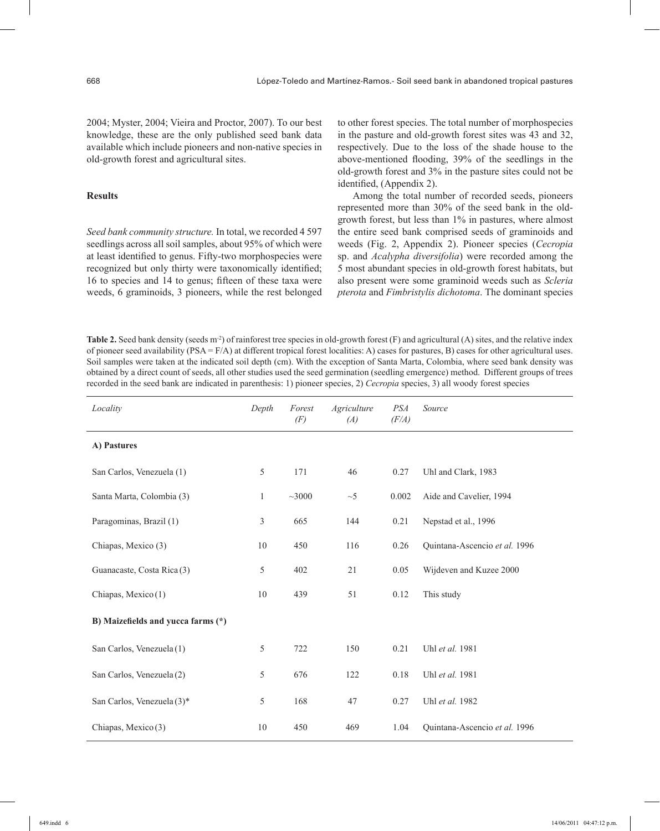2004; Myster, 2004; Vieira and Proctor, 2007). To our best knowledge, these are the only published seed bank data available which include pioneers and non-native species in old-growth forest and agricultural sites.

#### **Results**

*Seed bank community structure.* In total, we recorded 4 597 seedlings across all soil samples, about 95% of which were at least identified to genus. Fifty-two morphospecies were recognized but only thirty were taxonomically identified; 16 to species and 14 to genus; fifteen of these taxa were weeds, 6 graminoids, 3 pioneers, while the rest belonged

to other forest species. The total number of morphospecies in the pasture and old-growth forest sites was 43 and 32, respectively. Due to the loss of the shade house to the above-mentioned flooding, 39% of the seedlings in the old-growth forest and 3% in the pasture sites could not be identified, (Appendix 2).

Among the total number of recorded seeds, pioneers represented more than 30% of the seed bank in the oldgrowth forest, but less than 1% in pastures, where almost the entire seed bank comprised seeds of graminoids and weeds (Fig. 2, Appendix 2). Pioneer species (*Cecropia* sp. and *Acalypha diversifolia*) were recorded among the 5 most abundant species in old-growth forest habitats, but also present were some graminoid weeds such as *Scleria pterota* and *Fimbristylis dichotoma*. The dominant species

**Table 2.** Seed bank density (seeds m<sup>-2</sup>) of rainforest tree species in old-growth forest (F) and agricultural (A) sites, and the relative index of pioneer seed availability (PSA = F/A) at different tropical forest localities: A) cases for pastures, B) cases for other agricultural uses. Soil samples were taken at the indicated soil depth (cm). With the exception of Santa Marta, Colombia, where seed bank density was obtained by a direct count of seeds, all other studies used the seed germination (seedling emergence) method. Different groups of trees recorded in the seed bank are indicated in parenthesis: 1) pioneer species, 2) *Cecropia* species, 3) all woody forest species

| Locality                           | Depth          | Forest<br>(F) | Agriculture<br>(A) | <b>PSA</b><br>(F/A) | Source                        |
|------------------------------------|----------------|---------------|--------------------|---------------------|-------------------------------|
| A) Pastures                        |                |               |                    |                     |                               |
| San Carlos, Venezuela (1)          | 5              | 171           | 46                 | 0.27                | Uhl and Clark, 1983           |
| Santa Marta, Colombia (3)          | $\mathbf{1}$   | ~1000         | $\sim$ 5           | 0.002               | Aide and Cavelier, 1994       |
| Paragominas, Brazil (1)            | $\mathfrak{Z}$ | 665           | 144                | 0.21                | Nepstad et al., 1996          |
| Chiapas, Mexico (3)                | 10             | 450           | 116                | 0.26                | Quintana-Ascencio et al. 1996 |
| Guanacaste, Costa Rica (3)         | 5              | 402           | 21                 | 0.05                | Wijdeven and Kuzee 2000       |
| Chiapas, Mexico(1)                 | 10             | 439           | 51                 | 0.12                | This study                    |
| B) Maizefields and yucca farms (*) |                |               |                    |                     |                               |
| San Carlos, Venezuela (1)          | 5              | 722           | 150                | 0.21                | Uhl et al. 1981               |
| San Carlos, Venezuela (2)          | 5              | 676           | 122                | 0.18                | Uhl et al. 1981               |
| San Carlos, Venezuela (3)*         | 5              | 168           | 47                 | 0.27                | Uhl et al. 1982               |
| Chiapas, Mexico (3)                | 10             | 450           | 469                | 1.04                | Quintana-Ascencio et al. 1996 |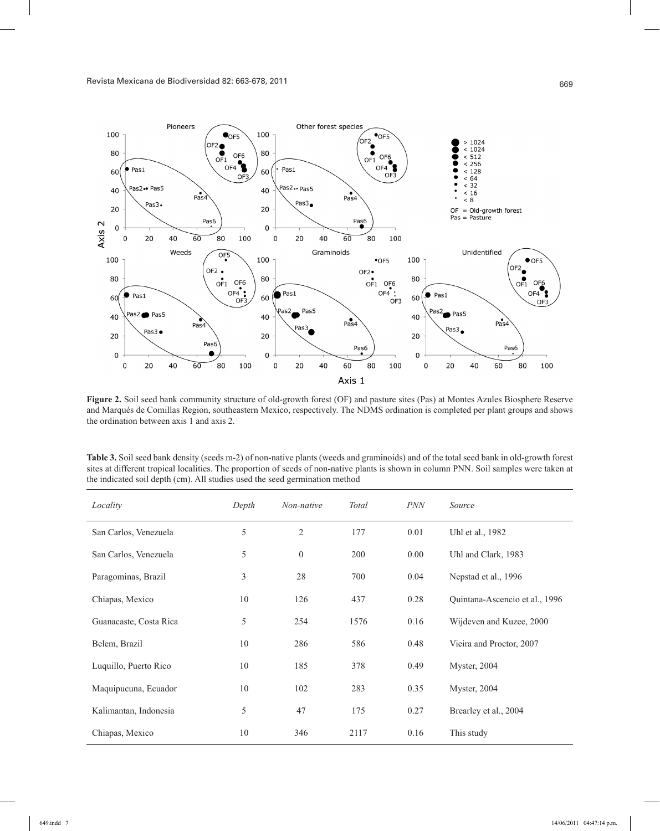

**Figure 2.** Soil seed bank community structure of old-growth forest (OF) and pasture sites (Pas) at Montes Azules Biosphere Reserve and Marqués de Comillas Region, southeastern Mexico, respectively. The NDMS ordination is completed per plant groups and shows the ordination between axis 1 and axis 2.

**Table 3.** Soil seed bank density (seeds m-2) of non-native plants (weeds and graminoids) and of the total seed bank in old-growth forest sites at different tropical localities. The proportion of seeds of non-native plants is shown in column PNN. Soil samples were taken at the indicated soil depth (cm). All studies used the seed germination method

| Locality               | Depth | Non-native     | Total | <b>PNN</b> | Source                         |
|------------------------|-------|----------------|-------|------------|--------------------------------|
| San Carlos, Venezuela  | 5     | $\overline{c}$ | 177   | 0.01       | Uhl et al., 1982               |
| San Carlos, Venezuela  | 5     | $\overline{0}$ | 200   | 0.00       | Uhl and Clark, 1983            |
| Paragominas, Brazil    | 3     | 28             | 700   | 0.04       | Nepstad et al., 1996           |
| Chiapas, Mexico        | 10    | 126            | 437   | 0.28       | Quintana-Ascencio et al., 1996 |
| Guanacaste, Costa Rica | 5     | 254            | 1576  | 0.16       | Wijdeven and Kuzee, 2000       |
| Belem, Brazil          | 10    | 286            | 586   | 0.48       | Vieira and Proctor, 2007       |
| Luquillo, Puerto Rico  | 10    | 185            | 378   | 0.49       | Myster, 2004                   |
| Maquipucuna, Ecuador   | 10    | 102            | 283   | 0.35       | Myster, 2004                   |
| Kalimantan, Indonesia  | 5     | 47             | 175   | 0.27       | Brearley et al., 2004          |
| Chiapas, Mexico        | 10    | 346            | 2117  | 0.16       | This study                     |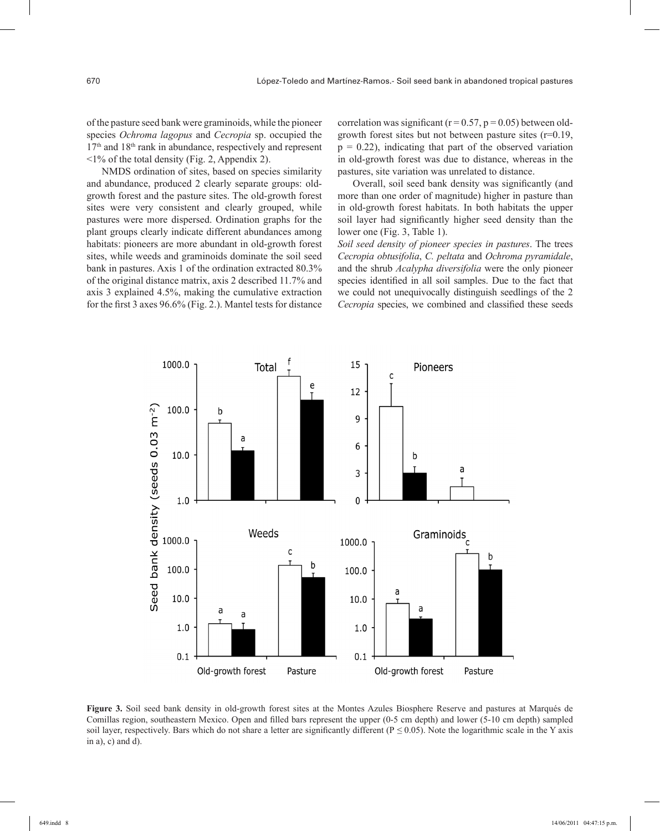of the pasture seed bank were graminoids, while the pioneer species *Ochroma lagopus* and *Cecropia* sp. occupied the  $17<sup>th</sup>$  and  $18<sup>th</sup>$  rank in abundance, respectively and represent  $\leq$ 1% of the total density (Fig. 2, Appendix 2).

NMDS ordination of sites, based on species similarity and abundance, produced 2 clearly separate groups: oldgrowth forest and the pasture sites. The old-growth forest sites were very consistent and clearly grouped, while pastures were more dispersed. Ordination graphs for the plant groups clearly indicate different abundances among habitats: pioneers are more abundant in old-growth forest sites, while weeds and graminoids dominate the soil seed bank in pastures. Axis 1 of the ordination extracted 80.3% of the original distance matrix, axis 2 described 11.7% and axis 3 explained 4.5%, making the cumulative extraction for the first 3 axes 96.6% (Fig. 2.). Mantel tests for distance

correlation was significant ( $r = 0.57$ ,  $p = 0.05$ ) between oldgrowth forest sites but not between pasture sites (r=0.19,  $p = 0.22$ ), indicating that part of the observed variation in old-growth forest was due to distance, whereas in the pastures, site variation was unrelated to distance.

Overall, soil seed bank density was significantly (and more than one order of magnitude) higher in pasture than in old-growth forest habitats. In both habitats the upper soil layer had significantly higher seed density than the lower one (Fig. 3, Table 1).

*Soil seed density of pioneer species in pastures*. The trees *Cecropia obtusifolia*, *C. peltata* and *Ochroma pyramidale*, and the shrub *Acalypha diversifolia* were the only pioneer species identified in all soil samples. Due to the fact that we could not unequivocally distinguish seedlings of the 2 *Cecropia* species, we combined and classified these seeds



**Figure 3.** Soil seed bank density in old-growth forest sites at the Montes Azules Biosphere Reserve and pastures at Marqués de Comillas region, southeastern Mexico. Open and filled bars represent the upper (0-5 cm depth) and lower (5-10 cm depth) sampled soil layer, respectively. Bars which do not share a letter are significantly different (P *≤* 0.05). Note the logarithmic scale in the Y axis in a), c) and  $d$ ).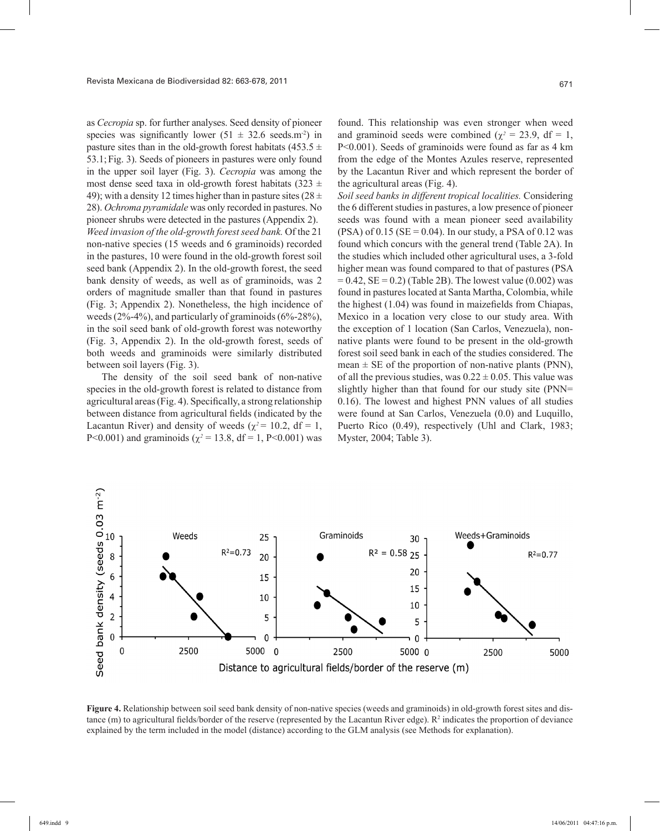as *Cecropia* sp. for further analyses. Seed density of pioneer species was significantly lower  $(51 \pm 32.6 \text{ seeds.m}^2)$  in pasture sites than in the old-growth forest habitats (453.5  $\pm$ 53.1;Fig. 3). Seeds of pioneers in pastures were only found in the upper soil layer (Fig. 3). *Cecropia* was among the most dense seed taxa in old-growth forest habitats (323  $\pm$ 49); with a density 12 times higher than in pasture sites ( $28 \pm$ 28). *Ochroma pyramidale* was only recorded in pastures. No pioneer shrubs were detected in the pastures (Appendix 2). *Weed invasion of the old-growth forest seed bank.* Of the 21 non-native species (15 weeds and 6 graminoids) recorded in the pastures, 10 were found in the old-growth forest soil seed bank (Appendix 2). In the old-growth forest, the seed bank density of weeds, as well as of graminoids, was 2 orders of magnitude smaller than that found in pastures (Fig. 3; Appendix 2). Nonetheless, the high incidence of weeds  $(2\% - 4\%)$ , and particularly of graminoids  $(6\% - 28\%)$ , in the soil seed bank of old-growth forest was noteworthy (Fig. 3, Appendix 2). In the old-growth forest, seeds of both weeds and graminoids were similarly distributed between soil layers (Fig. 3).

The density of the soil seed bank of non-native species in the old-growth forest is related to distance from agricultural areas (Fig. 4). Specifically, a strong relationship between distance from agricultural fields (indicated by the Lacantun River) and density of weeds ( $\chi^2$  = 10.2, df = 1, P<0.001) and graminoids ( $\chi^2$  = 13.8, df = 1, P<0.001) was

found. This relationship was even stronger when weed and graminoid seeds were combined ( $\chi^2 = 23.9$ , df = 1, P<0.001). Seeds of graminoids were found as far as 4 km from the edge of the Montes Azules reserve, represented by the Lacantun River and which represent the border of the agricultural areas (Fig. 4).

*Soil seed banks in different tropical localities.* Considering the 6 different studies in pastures, a low presence of pioneer seeds was found with a mean pioneer seed availability  $(PSA)$  of 0.15  $(SE = 0.04)$ . In our study, a PSA of 0.12 was found which concurs with the general trend (Table 2A). In the studies which included other agricultural uses, a 3-fold higher mean was found compared to that of pastures (PSA  $= 0.42$ , SE  $= 0.2$ ) (Table 2B). The lowest value (0.002) was found in pastures located at Santa Martha, Colombia, while the highest (1.04) was found in maizefields from Chiapas, Mexico in a location very close to our study area. With the exception of 1 location (San Carlos, Venezuela), nonnative plants were found to be present in the old-growth forest soil seed bank in each of the studies considered. The mean  $\pm$  SE of the proportion of non-native plants (PNN), of all the previous studies, was  $0.22 \pm 0.05$ . This value was slightly higher than that found for our study site (PNN= 0.16). The lowest and highest PNN values of all studies were found at San Carlos, Venezuela (0.0) and Luquillo, Puerto Rico (0.49), respectively (Uhl and Clark, 1983; Myster, 2004; Table 3).



**Figure 4.** Relationship between soil seed bank density of non-native species (weeds and graminoids) in old-growth forest sites and distance (m) to agricultural fields/border of the reserve (represented by the Lacantun River edge).  $R^2$  indicates the proportion of deviance explained by the term included in the model (distance) according to the GLM analysis (see Methods for explanation).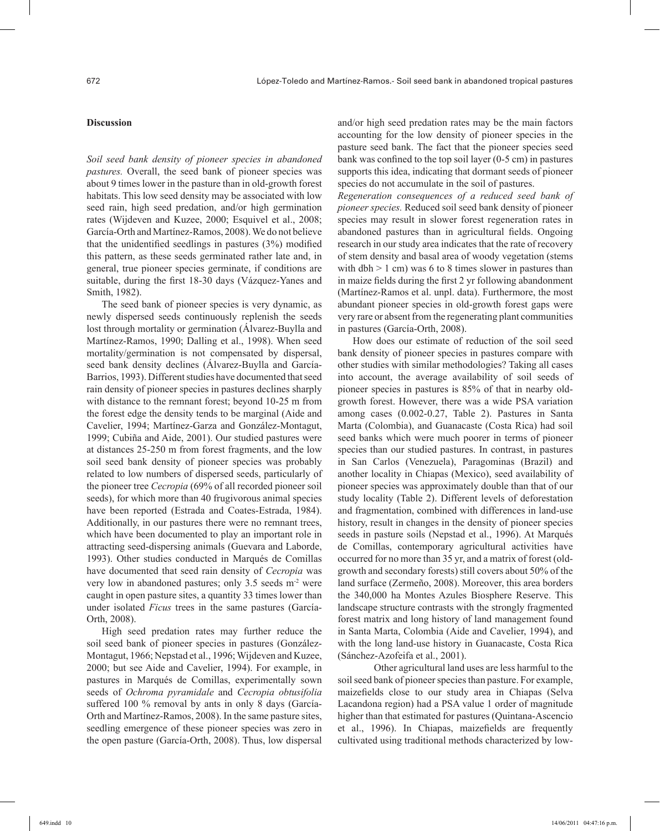### **Discussion**

*Soil seed bank density of pioneer species in abandoned pastures.* Overall, the seed bank of pioneer species was about 9 times lower in the pasture than in old-growth forest habitats. This low seed density may be associated with low seed rain, high seed predation, and/or high germination rates (Wijdeven and Kuzee, 2000; Esquivel et al., 2008; García-Orth and Martínez-Ramos, 2008). We do not believe that the unidentified seedlings in pastures (3%) modified this pattern, as these seeds germinated rather late and, in general, true pioneer species germinate, if conditions are suitable, during the first 18-30 days (Vázquez-Yanes and Smith, 1982).

The seed bank of pioneer species is very dynamic, as newly dispersed seeds continuously replenish the seeds lost through mortality or germination (Álvarez-Buylla and Martínez-Ramos, 1990; Dalling et al., 1998). When seed mortality/germination is not compensated by dispersal, seed bank density declines (Álvarez-Buylla and García-Barrios, 1993). Different studies have documented that seed rain density of pioneer species in pastures declines sharply with distance to the remnant forest; beyond 10-25 m from the forest edge the density tends to be marginal (Aide and Cavelier, 1994; Martínez-Garza and González-Montagut, 1999; Cubiña and Aide, 2001). Our studied pastures were at distances 25-250 m from forest fragments, and the low soil seed bank density of pioneer species was probably related to low numbers of dispersed seeds, particularly of the pioneer tree *Cecropia* (69% of all recorded pioneer soil seeds), for which more than 40 frugivorous animal species have been reported (Estrada and Coates-Estrada, 1984). Additionally, in our pastures there were no remnant trees, which have been documented to play an important role in attracting seed-dispersing animals (Guevara and Laborde, 1993). Other studies conducted in Marqués de Comillas have documented that seed rain density of *Cecropia* was very low in abandoned pastures; only 3.5 seeds m-2 were caught in open pasture sites, a quantity 33 times lower than under isolated *Ficus* trees in the same pastures (García-Orth, 2008).

High seed predation rates may further reduce the soil seed bank of pioneer species in pastures (González-Montagut, 1966; Nepstad et al., 1996; Wijdeven and Kuzee, 2000; but see Aide and Cavelier, 1994). For example, in pastures in Marqués de Comillas, experimentally sown seeds of *Ochroma pyramidale* and *Cecropia obtusifolia* suffered 100 % removal by ants in only 8 days (García-Orth and Martínez-Ramos, 2008). In the same pasture sites, seedling emergence of these pioneer species was zero in the open pasture (García-Orth, 2008). Thus, low dispersal

and/or high seed predation rates may be the main factors accounting for the low density of pioneer species in the pasture seed bank. The fact that the pioneer species seed bank was confined to the top soil layer (0-5 cm) in pastures supports this idea, indicating that dormant seeds of pioneer species do not accumulate in the soil of pastures.

*Regeneration consequences of a reduced seed bank of pioneer species.* Reduced soil seed bank density of pioneer species may result in slower forest regeneration rates in abandoned pastures than in agricultural fields. Ongoing research in our study area indicates that the rate of recovery of stem density and basal area of woody vegetation (stems with dbh  $> 1$  cm) was 6 to 8 times slower in pastures than in maize fields during the first 2 yr following abandonment (Martínez-Ramos et al. unpl. data). Furthermore, the most abundant pioneer species in old-growth forest gaps were very rare or absent from the regenerating plant communities in pastures (García-Orth, 2008).

How does our estimate of reduction of the soil seed bank density of pioneer species in pastures compare with other studies with similar methodologies? Taking all cases into account, the average availability of soil seeds of pioneer species in pastures is 85% of that in nearby oldgrowth forest. However, there was a wide PSA variation among cases (0.002-0.27, Table 2). Pastures in Santa Marta (Colombia), and Guanacaste (Costa Rica) had soil seed banks which were much poorer in terms of pioneer species than our studied pastures. In contrast, in pastures in San Carlos (Venezuela), Paragominas (Brazil) and another locality in Chiapas (Mexico), seed availability of pioneer species was approximately double than that of our study locality (Table 2). Different levels of deforestation and fragmentation, combined with differences in land-use history, result in changes in the density of pioneer species seeds in pasture soils (Nepstad et al., 1996). At Marqués de Comillas, contemporary agricultural activities have occurred for no more than 35 yr, and a matrix of forest (oldgrowth and secondary forests) still covers about 50% of the land surface (Zermeño, 2008). Moreover, this area borders the 340,000 ha Montes Azules Biosphere Reserve. This landscape structure contrasts with the strongly fragmented forest matrix and long history of land management found in Santa Marta, Colombia (Aide and Cavelier, 1994), and with the long land-use history in Guanacaste, Costa Rica (Sánchez-Azofeifa et al., 2001).

Other agricultural land uses are less harmful to the soil seed bank of pioneer species than pasture. For example, maizefields close to our study area in Chiapas (Selva Lacandona region) had a PSA value 1 order of magnitude higher than that estimated for pastures (Quintana-Ascencio et al., 1996). In Chiapas, maizefields are frequently cultivated using traditional methods characterized by low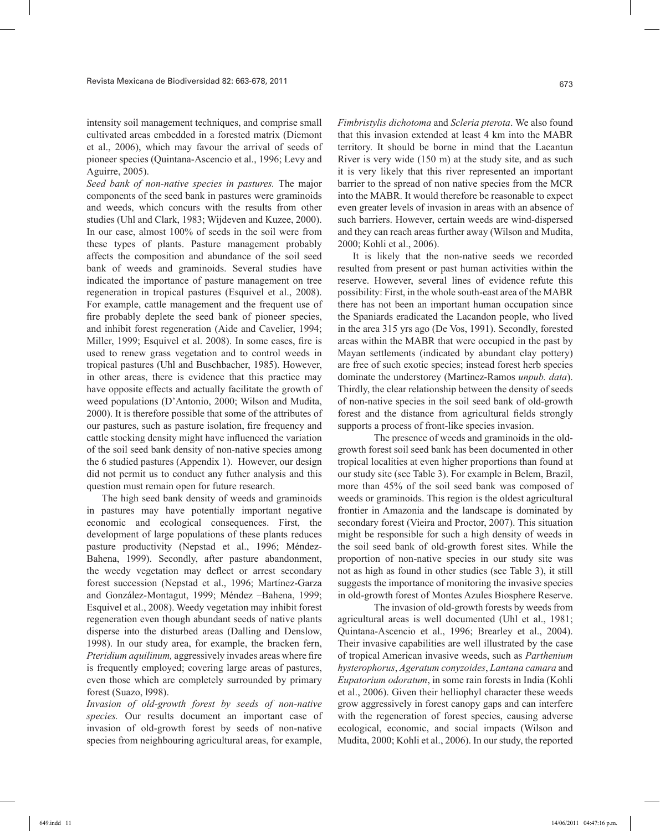intensity soil management techniques, and comprise small cultivated areas embedded in a forested matrix (Diemont et al., 2006), which may favour the arrival of seeds of pioneer species (Quintana-Ascencio et al., 1996; Levy and Aguirre, 2005).

*Seed bank of non-native species in pastures.* The major components of the seed bank in pastures were graminoids and weeds, which concurs with the results from other studies (Uhl and Clark, 1983; Wijdeven and Kuzee, 2000). In our case, almost 100% of seeds in the soil were from these types of plants. Pasture management probably affects the composition and abundance of the soil seed bank of weeds and graminoids. Several studies have indicated the importance of pasture management on tree regeneration in tropical pastures (Esquivel et al., 2008). For example, cattle management and the frequent use of fire probably deplete the seed bank of pioneer species, and inhibit forest regeneration (Aide and Cavelier, 1994; Miller, 1999; Esquivel et al. 2008). In some cases, fire is used to renew grass vegetation and to control weeds in tropical pastures (Uhl and Buschbacher, 1985). However, in other areas, there is evidence that this practice may have opposite effects and actually facilitate the growth of weed populations (D'Antonio, 2000; Wilson and Mudita, 2000). It is therefore possible that some of the attributes of our pastures, such as pasture isolation, fire frequency and cattle stocking density might have influenced the variation of the soil seed bank density of non-native species among the 6 studied pastures (Appendix 1). However, our design did not permit us to conduct any futher analysis and this question must remain open for future research.

The high seed bank density of weeds and graminoids in pastures may have potentially important negative economic and ecological consequences. First, the development of large populations of these plants reduces pasture productivity (Nepstad et al., 1996; Méndez-Bahena, 1999). Secondly, after pasture abandonment, the weedy vegetation may deflect or arrest secondary forest succession (Nepstad et al., 1996; Martínez-Garza and González-Montagut, 1999; Méndez –Bahena, 1999; Esquivel et al., 2008). Weedy vegetation may inhibit forest regeneration even though abundant seeds of native plants disperse into the disturbed areas (Dalling and Denslow, 1998). In our study area, for example, the bracken fern, *Pteridium aquilinum,* aggressively invades areas where fire is frequently employed; covering large areas of pastures, even those which are completely surrounded by primary forest (Suazo, l998).

*Invasion of old-growth forest by seeds of non-native species.* Our results document an important case of invasion of old-growth forest by seeds of non-native species from neighbouring agricultural areas, for example,

*Fimbristylis dichotoma* and *Scleria pterota*. We also found that this invasion extended at least 4 km into the MABR territory. It should be borne in mind that the Lacantun River is very wide (150 m) at the study site, and as such it is very likely that this river represented an important barrier to the spread of non native species from the MCR into the MABR. It would therefore be reasonable to expect even greater levels of invasion in areas with an absence of such barriers. However, certain weeds are wind-dispersed and they can reach areas further away (Wilson and Mudita, 2000; Kohli et al., 2006).

It is likely that the non-native seeds we recorded resulted from present or past human activities within the reserve. However, several lines of evidence refute this possibility: First, in the whole south-east area of the MABR there has not been an important human occupation since the Spaniards eradicated the Lacandon people, who lived in the area 315 yrs ago (De Vos, 1991). Secondly, forested areas within the MABR that were occupied in the past by Mayan settlements (indicated by abundant clay pottery) are free of such exotic species; instead forest herb species dominate the understorey (Martinez-Ramos *unpub. data*). Thirdly, the clear relationship between the density of seeds of non-native species in the soil seed bank of old-growth forest and the distance from agricultural fields strongly supports a process of front-like species invasion.

The presence of weeds and graminoids in the oldgrowth forest soil seed bank has been documented in other tropical localities at even higher proportions than found at our study site (see Table 3). For example in Belem, Brazil, more than 45% of the soil seed bank was composed of weeds or graminoids. This region is the oldest agricultural frontier in Amazonia and the landscape is dominated by secondary forest (Vieira and Proctor, 2007). This situation might be responsible for such a high density of weeds in the soil seed bank of old-growth forest sites. While the proportion of non-native species in our study site was not as high as found in other studies (see Table 3), it still suggests the importance of monitoring the invasive species in old-growth forest of Montes Azules Biosphere Reserve.

The invasion of old-growth forests by weeds from agricultural areas is well documented (Uhl et al., 1981; Quintana-Ascencio et al., 1996; Brearley et al., 2004). Their invasive capabilities are well illustrated by the case of tropical American invasive weeds, such as *Parthenium hysterophorus*, *Ageratum conyzoides*, *Lantana camara* and *Eupatorium odoratum*, in some rain forests in India (Kohli et al., 2006). Given their helliophyl character these weeds grow aggressively in forest canopy gaps and can interfere with the regeneration of forest species, causing adverse ecological, economic, and social impacts (Wilson and Mudita, 2000; Kohli et al., 2006). In our study, the reported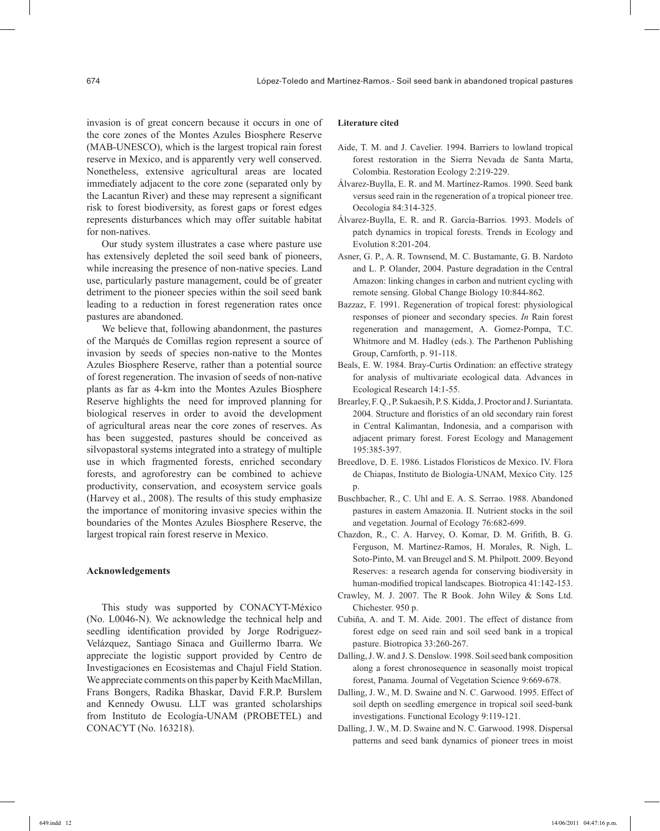invasion is of great concern because it occurs in one of the core zones of the Montes Azules Biosphere Reserve (MAB-UNESCO), which is the largest tropical rain forest reserve in Mexico, and is apparently very well conserved. Nonetheless, extensive agricultural areas are located immediately adjacent to the core zone (separated only by the Lacantun River) and these may represent a significant risk to forest biodiversity, as forest gaps or forest edges represents disturbances which may offer suitable habitat for non-natives.

Our study system illustrates a case where pasture use has extensively depleted the soil seed bank of pioneers, while increasing the presence of non-native species. Land use, particularly pasture management, could be of greater detriment to the pioneer species within the soil seed bank leading to a reduction in forest regeneration rates once pastures are abandoned.

We believe that, following abandonment, the pastures of the Marqués de Comillas region represent a source of invasion by seeds of species non-native to the Montes Azules Biosphere Reserve, rather than a potential source of forest regeneration. The invasion of seeds of non-native plants as far as 4-km into the Montes Azules Biosphere Reserve highlights the need for improved planning for biological reserves in order to avoid the development of agricultural areas near the core zones of reserves. As has been suggested, pastures should be conceived as silvopastoral systems integrated into a strategy of multiple use in which fragmented forests, enriched secondary forests, and agroforestry can be combined to achieve productivity, conservation, and ecosystem service goals (Harvey et al., 2008). The results of this study emphasize the importance of monitoring invasive species within the boundaries of the Montes Azules Biosphere Reserve, the largest tropical rain forest reserve in Mexico.

#### **Acknowledgements**

This study was supported by CONACYT-México (No. L0046-N). We acknowledge the technical help and seedling identification provided by Jorge Rodriguez-Velázquez, Santiago Sinaca and Guillermo Ibarra. We appreciate the logistic support provided by Centro de Investigaciones en Ecosistemas and Chajul Field Station. We appreciate comments on this paper by Keith MacMillan, Frans Bongers, Radika Bhaskar, David F.R.P. Burslem and Kennedy Owusu. LLT was granted scholarships from Instituto de Ecología-UNAM (PROBETEL) and CONACYT (No. 163218).

#### **Literature cited**

- Aide, T. M. and J. Cavelier. 1994. Barriers to lowland tropical forest restoration in the Sierra Nevada de Santa Marta, Colombia. Restoration Ecology 2:219-229.
- Álvarez-Buylla, E. R. and M. Martínez-Ramos. 1990. Seed bank versus seed rain in the regeneration of a tropical pioneer tree. Oecologia 84:314-325.
- Álvarez-Buylla, E. R. and R. García-Barrios. 1993. Models of patch dynamics in tropical forests. Trends in Ecology and Evolution 8:201-204.
- Asner, G. P., A. R. Townsend, M. C. Bustamante, G. B. Nardoto and L. P. Olander, 2004. Pasture degradation in the Central Amazon: linking changes in carbon and nutrient cycling with remote sensing. Global Change Biology 10:844-862.
- Bazzaz, F. 1991. Regeneration of tropical forest: physiological responses of pioneer and secondary species. *In* Rain forest regeneration and management, A. Gomez-Pompa, T.C. Whitmore and M. Hadley (eds.). The Parthenon Publishing Group, Carnforth, p. 91-118.
- Beals, E. W. 1984. Bray-Curtis Ordination: an effective strategy for analysis of multivariate ecological data. Advances in Ecological Research 14:1-55.
- Brearley, F. Q., P. Sukaesih, P. S. Kidda, J. Proctor and J. Suriantata. 2004. Structure and floristics of an old secondary rain forest in Central Kalimantan, Indonesia, and a comparison with adjacent primary forest. Forest Ecology and Management 195:385-397.
- Breedlove, D. E. 1986. Listados Floristicos de Mexico. IV. Flora de Chiapas, Instituto de Biologia-UNAM, Mexico City. 125 p.
- Buschbacher, R., C. Uhl and E. A. S. Serrao. 1988. Abandoned pastures in eastern Amazonia. II. Nutrient stocks in the soil and vegetation. Journal of Ecology 76:682-699.
- Chazdon, R., C. A. Harvey, O. Komar, D. M. Grifith, B. G. Ferguson, M. Martinez-Ramos, H. Morales, R. Nigh, L. Soto-Pinto, M. van Breugel and S. M. Philpott. 2009. Beyond Reserves: a research agenda for conserving biodiversity in human-modified tropical landscapes. Biotropica 41:142-153.
- Crawley, M. J. 2007. The R Book. John Wiley & Sons Ltd. Chichester. 950 p.
- Cubiña, A. and T. M. Aide. 2001. The effect of distance from forest edge on seed rain and soil seed bank in a tropical pasture. Biotropica 33:260-267.
- Dalling, J. W. and J. S. Denslow. 1998. Soil seed bank composition along a forest chronosequence in seasonally moist tropical forest, Panama. Journal of Vegetation Science 9:669-678.
- Dalling, J. W., M. D. Swaine and N. C. Garwood. 1995. Effect of soil depth on seedling emergence in tropical soil seed-bank investigations. Functional Ecology 9:119-121.
- Dalling, J. W., M. D. Swaine and N. C. Garwood. 1998. Dispersal patterns and seed bank dynamics of pioneer trees in moist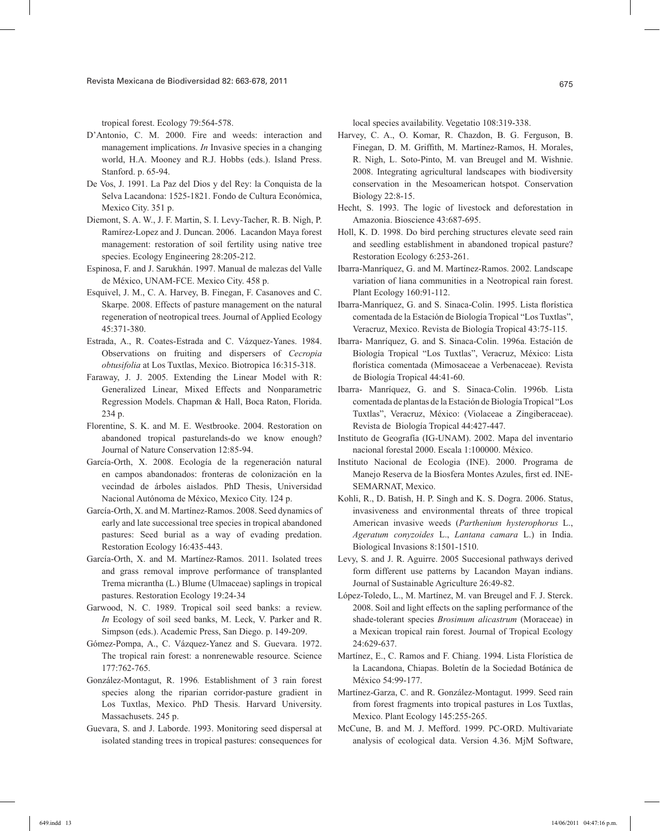tropical forest. Ecology 79:564-578.

- D'Antonio, C. M. 2000. Fire and weeds: interaction and management implications. *In* Invasive species in a changing world, H.A. Mooney and R.J. Hobbs (eds.). Island Press. Stanford. p. 65-94.
- De Vos, J. 1991. La Paz del Dios y del Rey: la Conquista de la Selva Lacandona: 1525-1821. Fondo de Cultura Económica, Mexico City. 351 p.
- Diemont, S. A. W., J. F. Martin, S. I. Levy-Tacher, R. B. Nigh, P. Ramírez-Lopez and J. Duncan. 2006. Lacandon Maya forest management: restoration of soil fertility using native tree species. Ecology Engineering 28:205-212.
- Espinosa, F. and J. Sarukhán. 1997. Manual de malezas del Valle de México, UNAM-FCE. Mexico City. 458 p.
- Esquivel, J. M., C. A. Harvey, B. Finegan, F. Casanoves and C. Skarpe. 2008. Effects of pasture management on the natural regeneration of neotropical trees. Journal of Applied Ecology 45:371-380.
- Estrada, A., R. Coates-Estrada and C. Vázquez-Yanes. 1984. Observations on fruiting and dispersers of *Cecropia obtusifolia* at Los Tuxtlas, Mexico. Biotropica 16:315-318.
- Faraway, J. J. 2005. Extending the Linear Model with R: Generalized Linear, Mixed Effects and Nonparametric Regression Models. Chapman & Hall, Boca Raton, Florida. 234 p.
- Florentine, S. K. and M. E. Westbrooke. 2004. Restoration on abandoned tropical pasturelands-do we know enough? Journal of Nature Conservation 12:85-94.
- García-Orth, X. 2008. Ecología de la regeneración natural en campos abandonados: fronteras de colonización en la vecindad de árboles aislados. PhD Thesis, Universidad Nacional Autónoma de México, Mexico City. 124 p.
- García-Orth, X. and M. Martínez-Ramos. 2008. Seed dynamics of early and late successional tree species in tropical abandoned pastures: Seed burial as a way of evading predation. Restoration Ecology 16:435-443.
- García-Orth, X. and M. Martínez-Ramos. 2011. Isolated trees and grass removal improve performance of transplanted Trema micrantha (L.) Blume (Ulmaceae) saplings in tropical pastures. Restoration Ecology 19:24-34
- Garwood, N. C. 1989. Tropical soil seed banks: a review. *In* Ecology of soil seed banks, M. Leck, V. Parker and R. Simpson (eds.). Academic Press, San Diego. p. 149-209.
- Gómez-Pompa, A., C. Vázquez-Yanez and S. Guevara. 1972. The tropical rain forest: a nonrenewable resource. Science 177:762-765.
- González-Montagut, R. 1996*.* Establishment of 3 rain forest species along the riparian corridor-pasture gradient in Los Tuxtlas, Mexico. PhD Thesis. Harvard University. Massachusets. 245 p.
- Guevara, S. and J. Laborde. 1993. Monitoring seed dispersal at isolated standing trees in tropical pastures: consequences for

local species availability. Vegetatio 108:319-338.

- Harvey, C. A., O. Komar, R. Chazdon, B. G. Ferguson, B. Finegan, D. M. Griffith, M. Martínez-Ramos, H. Morales, R. Nigh, L. Soto-Pinto, M. van Breugel and M. Wishnie. 2008. Integrating agricultural landscapes with biodiversity conservation in the Mesoamerican hotspot. Conservation Biology 22:8-15.
- Hecht, S. 1993. The logic of livestock and deforestation in Amazonia. Bioscience 43:687-695.
- Holl, K. D. 1998. Do bird perching structures elevate seed rain and seedling establishment in abandoned tropical pasture? Restoration Ecology 6:253-261.
- Ibarra-Manríquez, G. and M. Martínez-Ramos. 2002. Landscape variation of liana communities in a Neotropical rain forest. Plant Ecology 160:91-112.
- Ibarra-Manríquez, G. and S. Sinaca-Colin. 1995. Lista florística comentada de la Estación de Biología Tropical "Los Tuxtlas", Veracruz, Mexico. Revista de Biología Tropical 43:75-115.
- Ibarra- Manríquez, G. and S. Sinaca-Colin. 1996a. Estación de Biología Tropical "Los Tuxtlas", Veracruz, México: Lista florística comentada (Mimosaceae a Verbenaceae). Revista de Biología Tropical 44:41-60.
- Ibarra- Manríquez, G. and S. Sinaca-Colin. 1996b. Lista comentada de plantas de la Estación de Biología Tropical "Los Tuxtlas", Veracruz, México: (Violaceae a Zingiberaceae). Revista de Biología Tropical 44:427-447.
- Instituto de Geografía (IG-UNAM). 2002. Mapa del inventario nacional forestal 2000. Escala 1:100000. México.
- Instituto Nacional de Ecologia (INE). 2000. Programa de Manejo Reserva de la Biosfera Montes Azules, first ed. INE-SEMARNAT, Mexico.
- Kohli, R., D. Batish, H. P. Singh and K. S. Dogra. 2006. Status, invasiveness and environmental threats of three tropical American invasive weeds (*Parthenium hysterophorus* L., *Ageratum conyzoides* L., *Lantana camara* L.) in India. Biological Invasions 8:1501-1510.
- Levy, S. and J. R. Aguirre. 2005 Succesional pathways derived form different use patterns by Lacandon Mayan indians. Journal of Sustainable Agriculture 26:49-82.
- López-Toledo, L., M. Martínez, M. van Breugel and F. J. Sterck. 2008. Soil and light effects on the sapling performance of the shade-tolerant species *Brosimum alicastrum* (Moraceae) in a Mexican tropical rain forest. Journal of Tropical Ecology 24:629-637.
- Martínez, E., C. Ramos and F. Chiang. 1994. Lista Florística de la Lacandona, Chiapas. Boletín de la Sociedad Botánica de México 54:99-177.
- Martínez-Garza, C. and R. González-Montagut. 1999. Seed rain from forest fragments into tropical pastures in Los Tuxtlas, Mexico. Plant Ecology 145:255-265.
- McCune, B. and M. J. Mefford. 1999. PC-ORD. Multivariate analysis of ecological data. Version 4.36. MjM Software,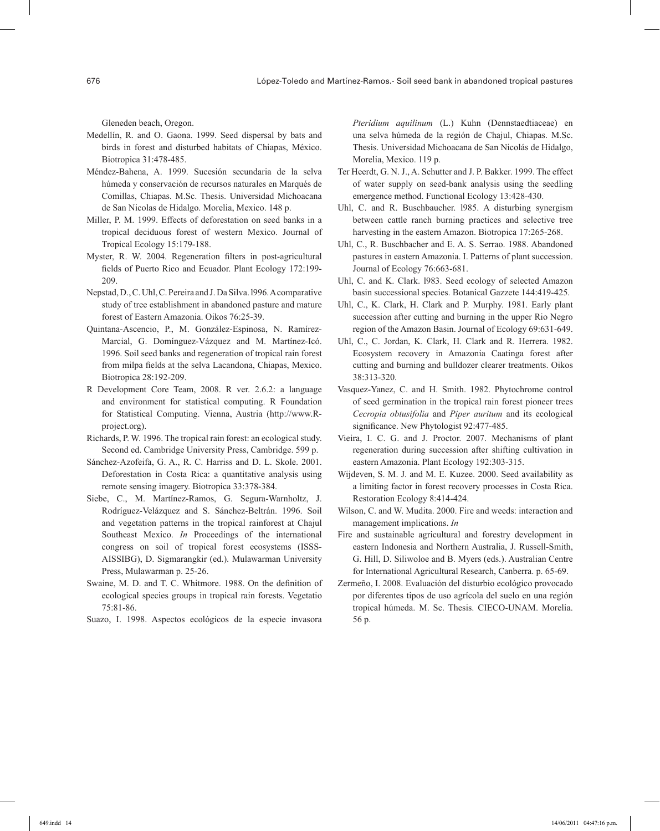Gleneden beach, Oregon.

- Medellín, R. and O. Gaona. 1999. Seed dispersal by bats and birds in forest and disturbed habitats of Chiapas, México. Biotropica 31:478-485.
- Méndez-Bahena, A. 1999. Sucesión secundaria de la selva húmeda y conservación de recursos naturales en Marqués de Comillas, Chiapas. M.Sc. Thesis. Universidad Michoacana de San Nicolas de Hidalgo. Morelia, Mexico. 148 p.
- Miller, P. M. 1999. Effects of deforestation on seed banks in a tropical deciduous forest of western Mexico. Journal of Tropical Ecology 15:179-188.
- Myster, R. W. 2004. Regeneration filters in post-agricultural fields of Puerto Rico and Ecuador. Plant Ecology 172:199- 209.
- Nepstad, D., C. Uhl, C. Pereira and J. Da Silva. l996. A comparative study of tree establishment in abandoned pasture and mature forest of Eastern Amazonia. Oikos 76:25-39.
- Quintana-Ascencio, P., M. González-Espinosa, N. Ramírez-Marcial, G. Domínguez-Vázquez and M. Martínez-Icó. 1996. Soil seed banks and regeneration of tropical rain forest from milpa fields at the selva Lacandona, Chiapas, Mexico. Biotropica 28:192-209.
- R Development Core Team, 2008. R ver. 2.6.2: a language and environment for statistical computing. R Foundation for Statistical Computing. Vienna, Austria (http://www.Rproject.org).
- Richards, P. W. 1996. The tropical rain forest: an ecological study. Second ed. Cambridge University Press, Cambridge. 599 p.
- Sánchez-Azofeifa, G. A., R. C. Harriss and D. L. Skole. 2001. Deforestation in Costa Rica: a quantitative analysis using remote sensing imagery. Biotropica 33:378-384.
- Siebe, C., M. Martínez-Ramos, G. Segura-Warnholtz, J. Rodríguez-Velázquez and S. Sánchez-Beltrán. 1996. Soil and vegetation patterns in the tropical rainforest at Chajul Southeast Mexico. *In* Proceedings of the international congress on soil of tropical forest ecosystems (ISSS-AISSIBG), D. Sigmarangkir (ed.). Mulawarman University Press, Mulawarman p. 25-26.
- Swaine, M. D. and T. C. Whitmore. 1988. On the definition of ecological species groups in tropical rain forests. Vegetatio 75:81-86.
- Suazo, I. 1998. Aspectos ecológicos de la especie invasora

*Pteridium aquilinum* (L.) Kuhn (Dennstaedtiaceae) en una selva húmeda de la región de Chajul, Chiapas. M.Sc. Thesis. Universidad Michoacana de San Nicolás de Hidalgo, Morelia, Mexico. 119 p.

- Ter Heerdt, G. N. J., A. Schutter and J. P. Bakker. 1999. The effect of water supply on seed-bank analysis using the seedling emergence method. Functional Ecology 13:428-430.
- Uhl, C. and R. Buschbaucher. l985. A disturbing synergism between cattle ranch burning practices and selective tree harvesting in the eastern Amazon. Biotropica 17:265-268.
- Uhl, C., R. Buschbacher and E. A. S. Serrao. 1988. Abandoned pastures in eastern Amazonia. I. Patterns of plant succession. Journal of Ecology 76:663-681.
- Uhl, C. and K. Clark. l983. Seed ecology of selected Amazon basin successional species. Botanical Gazzete 144:419-425.
- Uhl, C., K. Clark, H. Clark and P. Murphy. 1981. Early plant succession after cutting and burning in the upper Rio Negro region of the Amazon Basin. Journal of Ecology 69:631-649.
- Uhl, C., C. Jordan, K. Clark, H. Clark and R. Herrera. 1982. Ecosystem recovery in Amazonia Caatinga forest after cutting and burning and bulldozer clearer treatments. Oikos 38:313-320.
- Vasquez-Yanez, C. and H. Smith. 1982. Phytochrome control of seed germination in the tropical rain forest pioneer trees *Cecropia obtusifolia* and *Piper auritum* and its ecological significance. New Phytologist 92:477-485.
- Vieira, I. C. G. and J. Proctor. 2007. Mechanisms of plant regeneration during succession after shifting cultivation in eastern Amazonia. Plant Ecology 192:303-315.
- Wijdeven, S. M. J. and M. E. Kuzee. 2000. Seed availability as a limiting factor in forest recovery processes in Costa Rica. Restoration Ecology 8:414-424.
- Wilson, C. and W. Mudita. 2000. Fire and weeds: interaction and management implications. *In*
- Fire and sustainable agricultural and forestry development in eastern Indonesia and Northern Australia, J. Russell-Smith, G. Hill, D. Siliwoloe and B. Myers (eds.). Australian Centre for International Agricultural Research, Canberra. p. 65-69.
- Zermeño, I. 2008. Evaluación del disturbio ecológico provocado por diferentes tipos de uso agrícola del suelo en una región tropical húmeda. M. Sc. Thesis. CIECO-UNAM. Morelia. 56 p.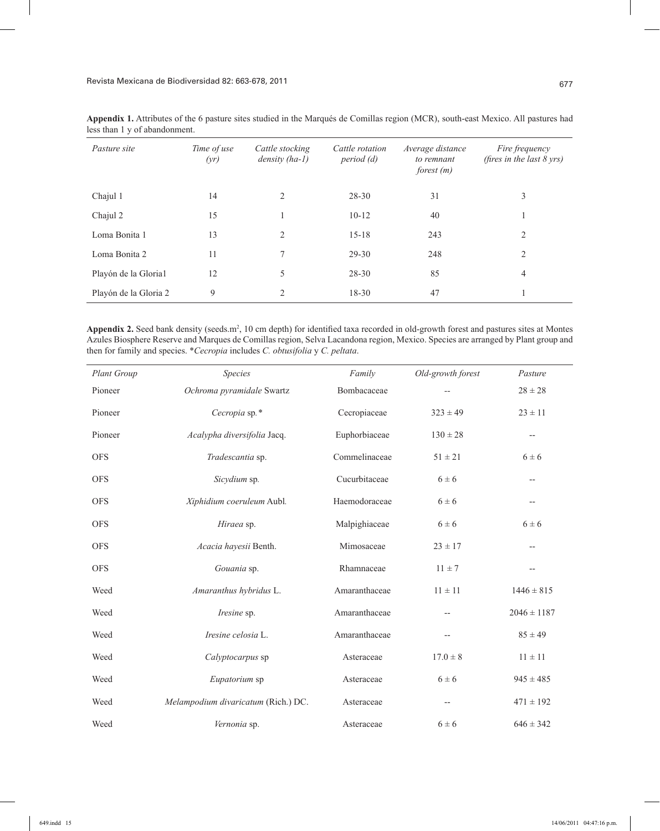| Pasture site          | Time of use<br>(yr) | Cattle stocking<br>$density (ha-1)$ | Cattle rotation<br>period (d) | Average distance<br>to remnant<br>forest $(m)$ | Fire frequency<br>(fires in the last $8 \text{ yrs}$ ) |
|-----------------------|---------------------|-------------------------------------|-------------------------------|------------------------------------------------|--------------------------------------------------------|
| Chajul 1              | 14                  | 2                                   | 28-30                         | 31                                             | 3                                                      |
| Chajul 2              | 15                  |                                     | $10-12$                       | 40                                             |                                                        |
| Loma Bonita 1         | 13                  | 2                                   | $15 - 18$                     | 243                                            | 2                                                      |
| Loma Bonita 2         | 11                  | 7                                   | $29 - 30$                     | 248                                            | 2                                                      |
| Playón de la Gloria1  | 12                  | 5                                   | 28-30                         | 85                                             | 4                                                      |
| Playón de la Gloria 2 | 9                   | $\overline{2}$                      | $18 - 30$                     | 47                                             |                                                        |

**Appendix 1.** Attributes of the 6 pasture sites studied in the Marqués de Comillas region (MCR), south-east Mexico. All pastures had less than 1 y of abandonment.

Appendix 2. Seed bank density (seeds.m<sup>2</sup>, 10 cm depth) for identified taxa recorded in old-growth forest and pastures sites at Montes Azules Biosphere Reserve and Marques de Comillas region, Selva Lacandona region, Mexico. Species are arranged by Plant group and then for family and species. \**Cecropia* includes *C. obtusifolia* y *C. peltata*.

| Plant Group | <b>Species</b>                      | Family        | Old-growth forest | Pasture                  |
|-------------|-------------------------------------|---------------|-------------------|--------------------------|
| Pioneer     | Ochroma pyramidale Swartz           | Bombacaceae   |                   | $28 \pm 28$              |
| Pioneer     | Cecropia sp.*                       | Cecropiaceae  | $323 \pm 49$      | $23 \pm 11$              |
| Pioneer     | Acalypha diversifolia Jacq.         | Euphorbiaceae | $130 \pm 28$      | $\overline{\phantom{m}}$ |
| <b>OFS</b>  | Tradescantia sp.                    | Commelinaceae | $51 \pm 21$       | $6 \pm 6$                |
| <b>OFS</b>  | Sicydium sp.                        | Cucurbitaceae | $6 \pm 6$         | --                       |
| <b>OFS</b>  | Xiphidium coeruleum Aubl.           | Haemodoraceae | $6 \pm 6$         | $- -$                    |
| <b>OFS</b>  | Hiraea sp.                          | Malpighiaceae | $6 \pm 6$         | $6 \pm 6$                |
| <b>OFS</b>  | Acacia hayesii Benth.               | Mimosaceae    | $23 \pm 17$       | $- -$                    |
| <b>OFS</b>  | Gouania sp.                         | Rhamnaceae    | $11 \pm 7$        | $\overline{\phantom{a}}$ |
| Weed        | Amaranthus hybridus L.              | Amaranthaceae | $11 \pm 11$       | $1446 \pm 815$           |
| Weed        | Iresine sp.                         | Amaranthaceae | $- -$             | $2046 \pm 1187$          |
| Weed        | Iresine celosia L.                  | Amaranthaceae | $-$               | $85 \pm 49$              |
| Weed        | Calyptocarpus sp                    | Asteraceae    | $17.0 \pm 8$      | $11 \pm 11$              |
| Weed        | Eupatorium sp                       | Asteraceae    | $6 \pm 6$         | $945 \pm 485$            |
| Weed        | Melampodium divaricatum (Rich.) DC. | Asteraceae    | $-$               | $471 \pm 192$            |
| Weed        | Vernonia sp.                        | Asteraceae    | $6 \pm 6$         | $646 \pm 342$            |